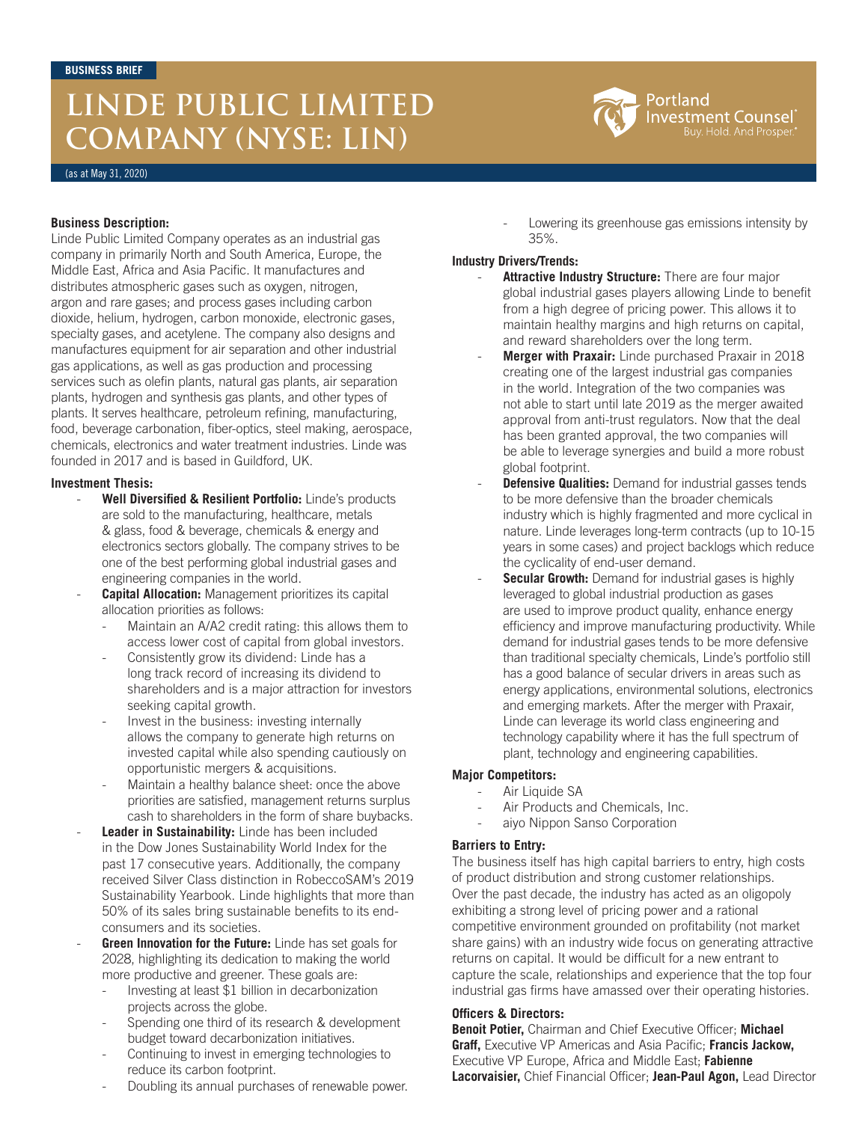# **LINDE PUBLIC LIMITED COMPANY (NYSE: LIN)**

(as at May 31, 2020)

### **Business Description:**

Linde Public Limited Company operates as an industrial gas company in primarily North and South America, Europe, the Middle East, Africa and Asia Pacific. It manufactures and distributes atmospheric gases such as oxygen, nitrogen, argon and rare gases; and process gases including carbon dioxide, helium, hydrogen, carbon monoxide, electronic gases, specialty gases, and acetylene. The company also designs and manufactures equipment for air separation and other industrial gas applications, as well as gas production and processing services such as olefin plants, natural gas plants, air separation plants, hydrogen and synthesis gas plants, and other types of plants. It serves healthcare, petroleum refining, manufacturing, food, beverage carbonation, fiber-optics, steel making, aerospace, chemicals, electronics and water treatment industries. Linde was founded in 2017 and is based in Guildford, UK.

### **Investment Thesis:**

- **Well Diversified & Resilient Portfolio:** Linde's products are sold to the manufacturing, healthcare, metals & glass, food & beverage, chemicals & energy and electronics sectors globally. The company strives to be one of the best performing global industrial gases and engineering companies in the world.
- **Capital Allocation:** Management prioritizes its capital allocation priorities as follows:
	- Maintain an A/A2 credit rating: this allows them to access lower cost of capital from global investors.
	- Consistently grow its dividend: Linde has a long track record of increasing its dividend to shareholders and is a major attraction for investors seeking capital growth.
	- Invest in the business: investing internally allows the company to generate high returns on invested capital while also spending cautiously on opportunistic mergers & acquisitions.
	- Maintain a healthy balance sheet: once the above priorities are satisfied, management returns surplus cash to shareholders in the form of share buybacks.
- **Leader in Sustainability:** Linde has been included in the Dow Jones Sustainability World Index for the past 17 consecutive years. Additionally, the company received Silver Class distinction in RobeccoSAM's 2019 Sustainability Yearbook. Linde highlights that more than 50% of its sales bring sustainable benefits to its endconsumers and its societies.
- Green Innovation for the Future: Linde has set goals for 2028, highlighting its dedication to making the world more productive and greener. These goals are:
	- Investing at least \$1 billion in decarbonization projects across the globe.
	- Spending one third of its research & development budget toward decarbonization initiatives.
	- Continuing to invest in emerging technologies to reduce its carbon footprint.
	- Doubling its annual purchases of renewable power.

Lowering its greenhouse gas emissions intensity by 35%.

## **Industry Drivers/Trends:**

- Attractive Industry Structure: There are four major global industrial gases players allowing Linde to benefit from a high degree of pricing power. This allows it to maintain healthy margins and high returns on capital, and reward shareholders over the long term.
- Merger with Praxair: Linde purchased Praxair in 2018 creating one of the largest industrial gas companies in the world. Integration of the two companies was not able to start until late 2019 as the merger awaited approval from anti-trust regulators. Now that the deal has been granted approval, the two companies will be able to leverage synergies and build a more robust global footprint.
- **Defensive Qualities:** Demand for industrial gasses tends to be more defensive than the broader chemicals industry which is highly fragmented and more cyclical in nature. Linde leverages long-term contracts (up to 10-15 years in some cases) and project backlogs which reduce the cyclicality of end-user demand.
- **Secular Growth:** Demand for industrial gases is highly leveraged to global industrial production as gases are used to improve product quality, enhance energy efficiency and improve manufacturing productivity. While demand for industrial gases tends to be more defensive than traditional specialty chemicals, Linde's portfolio still has a good balance of secular drivers in areas such as energy applications, environmental solutions, electronics and emerging markets. After the merger with Praxair, Linde can leverage its world class engineering and technology capability where it has the full spectrum of plant, technology and engineering capabilities.

## **Major Competitors:**

- Air Liquide SA
- Air Products and Chemicals, Inc.
- aiyo Nippon Sanso Corporation

## **Barriers to Entry:**

The business itself has high capital barriers to entry, high costs of product distribution and strong customer relationships. Over the past decade, the industry has acted as an oligopoly exhibiting a strong level of pricing power and a rational competitive environment grounded on profitability (not market share gains) with an industry wide focus on generating attractive returns on capital. It would be difficult for a new entrant to capture the scale, relationships and experience that the top four industrial gas firms have amassed over their operating histories.

### **Officers & Directors:**

**Benoit Potier,** Chairman and Chief Executive Officer; **Michael Graff,** Executive VP Americas and Asia Pacific; **Francis Jackow,** Executive VP Europe, Africa and Middle East; **Fabienne Lacorvaisier,** Chief Financial Officer; **Jean-Paul Agon,** Lead Director